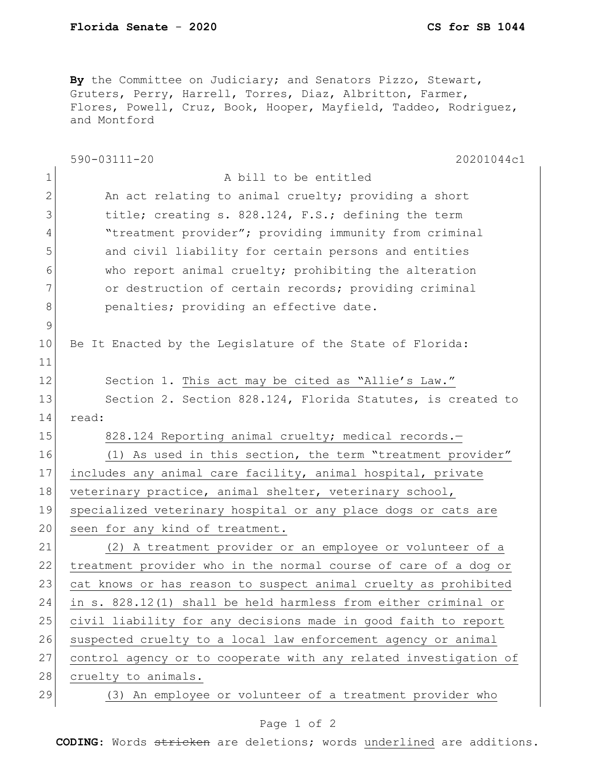**By** the Committee on Judiciary; and Senators Pizzo, Stewart, Gruters, Perry, Harrell, Torres, Diaz, Albritton, Farmer, Flores, Powell, Cruz, Book, Hooper, Mayfield, Taddeo, Rodriguez, and Montford

| $\mathbf 1$<br>A bill to be entitled<br>$\mathbf{2}$<br>An act relating to animal cruelty; providing a short<br>3<br>title; creating s. 828.124, F.S.; defining the term<br>"treatment provider"; providing immunity from criminal<br>4<br>5<br>and civil liability for certain persons and entities<br>who report animal cruelty; prohibiting the alteration<br>6<br>7<br>or destruction of certain records; providing criminal<br>8<br>penalties; providing an effective date.<br>$\mathcal{G}$<br>10<br>Be It Enacted by the Legislature of the State of Florida:<br>11<br>12<br>Section 1. This act may be cited as "Allie's Law."<br>13<br>Section 2. Section 828.124, Florida Statutes, is created to<br>14<br>read:<br>15<br>828.124 Reporting animal cruelty; medical records.-<br>16<br>(1) As used in this section, the term "treatment provider"<br>17<br>includes any animal care facility, animal hospital, private<br>18<br>veterinary practice, animal shelter, veterinary school,<br>19<br>specialized veterinary hospital or any place dogs or cats are<br>20<br>seen for any kind of treatment.<br>21<br>(2) A treatment provider or an employee or volunteer of a<br>22<br>treatment provider who in the normal course of care of a dog or<br>23<br>cat knows or has reason to suspect animal cruelty as prohibited<br>24<br>in s. 828.12(1) shall be held harmless from either criminal or<br>25<br>civil liability for any decisions made in good faith to report<br>26<br>suspected cruelty to a local law enforcement agency or animal<br>27<br>control agency or to cooperate with any related investigation of<br>28<br>cruelty to animals.<br>29<br>(3) An employee or volunteer of a treatment provider who | 590-03111-20<br>20201044c1 |
|----------------------------------------------------------------------------------------------------------------------------------------------------------------------------------------------------------------------------------------------------------------------------------------------------------------------------------------------------------------------------------------------------------------------------------------------------------------------------------------------------------------------------------------------------------------------------------------------------------------------------------------------------------------------------------------------------------------------------------------------------------------------------------------------------------------------------------------------------------------------------------------------------------------------------------------------------------------------------------------------------------------------------------------------------------------------------------------------------------------------------------------------------------------------------------------------------------------------------------------------------------------------------------------------------------------------------------------------------------------------------------------------------------------------------------------------------------------------------------------------------------------------------------------------------------------------------------------------------------------------------------------------------------------------------------------------------------------------------------------|----------------------------|
|                                                                                                                                                                                                                                                                                                                                                                                                                                                                                                                                                                                                                                                                                                                                                                                                                                                                                                                                                                                                                                                                                                                                                                                                                                                                                                                                                                                                                                                                                                                                                                                                                                                                                                                                        |                            |
|                                                                                                                                                                                                                                                                                                                                                                                                                                                                                                                                                                                                                                                                                                                                                                                                                                                                                                                                                                                                                                                                                                                                                                                                                                                                                                                                                                                                                                                                                                                                                                                                                                                                                                                                        |                            |
|                                                                                                                                                                                                                                                                                                                                                                                                                                                                                                                                                                                                                                                                                                                                                                                                                                                                                                                                                                                                                                                                                                                                                                                                                                                                                                                                                                                                                                                                                                                                                                                                                                                                                                                                        |                            |
|                                                                                                                                                                                                                                                                                                                                                                                                                                                                                                                                                                                                                                                                                                                                                                                                                                                                                                                                                                                                                                                                                                                                                                                                                                                                                                                                                                                                                                                                                                                                                                                                                                                                                                                                        |                            |
|                                                                                                                                                                                                                                                                                                                                                                                                                                                                                                                                                                                                                                                                                                                                                                                                                                                                                                                                                                                                                                                                                                                                                                                                                                                                                                                                                                                                                                                                                                                                                                                                                                                                                                                                        |                            |
|                                                                                                                                                                                                                                                                                                                                                                                                                                                                                                                                                                                                                                                                                                                                                                                                                                                                                                                                                                                                                                                                                                                                                                                                                                                                                                                                                                                                                                                                                                                                                                                                                                                                                                                                        |                            |
|                                                                                                                                                                                                                                                                                                                                                                                                                                                                                                                                                                                                                                                                                                                                                                                                                                                                                                                                                                                                                                                                                                                                                                                                                                                                                                                                                                                                                                                                                                                                                                                                                                                                                                                                        |                            |
|                                                                                                                                                                                                                                                                                                                                                                                                                                                                                                                                                                                                                                                                                                                                                                                                                                                                                                                                                                                                                                                                                                                                                                                                                                                                                                                                                                                                                                                                                                                                                                                                                                                                                                                                        |                            |
|                                                                                                                                                                                                                                                                                                                                                                                                                                                                                                                                                                                                                                                                                                                                                                                                                                                                                                                                                                                                                                                                                                                                                                                                                                                                                                                                                                                                                                                                                                                                                                                                                                                                                                                                        |                            |
|                                                                                                                                                                                                                                                                                                                                                                                                                                                                                                                                                                                                                                                                                                                                                                                                                                                                                                                                                                                                                                                                                                                                                                                                                                                                                                                                                                                                                                                                                                                                                                                                                                                                                                                                        |                            |
|                                                                                                                                                                                                                                                                                                                                                                                                                                                                                                                                                                                                                                                                                                                                                                                                                                                                                                                                                                                                                                                                                                                                                                                                                                                                                                                                                                                                                                                                                                                                                                                                                                                                                                                                        |                            |
|                                                                                                                                                                                                                                                                                                                                                                                                                                                                                                                                                                                                                                                                                                                                                                                                                                                                                                                                                                                                                                                                                                                                                                                                                                                                                                                                                                                                                                                                                                                                                                                                                                                                                                                                        |                            |
|                                                                                                                                                                                                                                                                                                                                                                                                                                                                                                                                                                                                                                                                                                                                                                                                                                                                                                                                                                                                                                                                                                                                                                                                                                                                                                                                                                                                                                                                                                                                                                                                                                                                                                                                        |                            |
|                                                                                                                                                                                                                                                                                                                                                                                                                                                                                                                                                                                                                                                                                                                                                                                                                                                                                                                                                                                                                                                                                                                                                                                                                                                                                                                                                                                                                                                                                                                                                                                                                                                                                                                                        |                            |
|                                                                                                                                                                                                                                                                                                                                                                                                                                                                                                                                                                                                                                                                                                                                                                                                                                                                                                                                                                                                                                                                                                                                                                                                                                                                                                                                                                                                                                                                                                                                                                                                                                                                                                                                        |                            |
|                                                                                                                                                                                                                                                                                                                                                                                                                                                                                                                                                                                                                                                                                                                                                                                                                                                                                                                                                                                                                                                                                                                                                                                                                                                                                                                                                                                                                                                                                                                                                                                                                                                                                                                                        |                            |
|                                                                                                                                                                                                                                                                                                                                                                                                                                                                                                                                                                                                                                                                                                                                                                                                                                                                                                                                                                                                                                                                                                                                                                                                                                                                                                                                                                                                                                                                                                                                                                                                                                                                                                                                        |                            |
|                                                                                                                                                                                                                                                                                                                                                                                                                                                                                                                                                                                                                                                                                                                                                                                                                                                                                                                                                                                                                                                                                                                                                                                                                                                                                                                                                                                                                                                                                                                                                                                                                                                                                                                                        |                            |
|                                                                                                                                                                                                                                                                                                                                                                                                                                                                                                                                                                                                                                                                                                                                                                                                                                                                                                                                                                                                                                                                                                                                                                                                                                                                                                                                                                                                                                                                                                                                                                                                                                                                                                                                        |                            |
|                                                                                                                                                                                                                                                                                                                                                                                                                                                                                                                                                                                                                                                                                                                                                                                                                                                                                                                                                                                                                                                                                                                                                                                                                                                                                                                                                                                                                                                                                                                                                                                                                                                                                                                                        |                            |
|                                                                                                                                                                                                                                                                                                                                                                                                                                                                                                                                                                                                                                                                                                                                                                                                                                                                                                                                                                                                                                                                                                                                                                                                                                                                                                                                                                                                                                                                                                                                                                                                                                                                                                                                        |                            |
|                                                                                                                                                                                                                                                                                                                                                                                                                                                                                                                                                                                                                                                                                                                                                                                                                                                                                                                                                                                                                                                                                                                                                                                                                                                                                                                                                                                                                                                                                                                                                                                                                                                                                                                                        |                            |
|                                                                                                                                                                                                                                                                                                                                                                                                                                                                                                                                                                                                                                                                                                                                                                                                                                                                                                                                                                                                                                                                                                                                                                                                                                                                                                                                                                                                                                                                                                                                                                                                                                                                                                                                        |                            |
|                                                                                                                                                                                                                                                                                                                                                                                                                                                                                                                                                                                                                                                                                                                                                                                                                                                                                                                                                                                                                                                                                                                                                                                                                                                                                                                                                                                                                                                                                                                                                                                                                                                                                                                                        |                            |
|                                                                                                                                                                                                                                                                                                                                                                                                                                                                                                                                                                                                                                                                                                                                                                                                                                                                                                                                                                                                                                                                                                                                                                                                                                                                                                                                                                                                                                                                                                                                                                                                                                                                                                                                        |                            |
|                                                                                                                                                                                                                                                                                                                                                                                                                                                                                                                                                                                                                                                                                                                                                                                                                                                                                                                                                                                                                                                                                                                                                                                                                                                                                                                                                                                                                                                                                                                                                                                                                                                                                                                                        |                            |
|                                                                                                                                                                                                                                                                                                                                                                                                                                                                                                                                                                                                                                                                                                                                                                                                                                                                                                                                                                                                                                                                                                                                                                                                                                                                                                                                                                                                                                                                                                                                                                                                                                                                                                                                        |                            |
|                                                                                                                                                                                                                                                                                                                                                                                                                                                                                                                                                                                                                                                                                                                                                                                                                                                                                                                                                                                                                                                                                                                                                                                                                                                                                                                                                                                                                                                                                                                                                                                                                                                                                                                                        |                            |
|                                                                                                                                                                                                                                                                                                                                                                                                                                                                                                                                                                                                                                                                                                                                                                                                                                                                                                                                                                                                                                                                                                                                                                                                                                                                                                                                                                                                                                                                                                                                                                                                                                                                                                                                        |                            |

## Page 1 of 2

**CODING**: Words stricken are deletions; words underlined are additions.